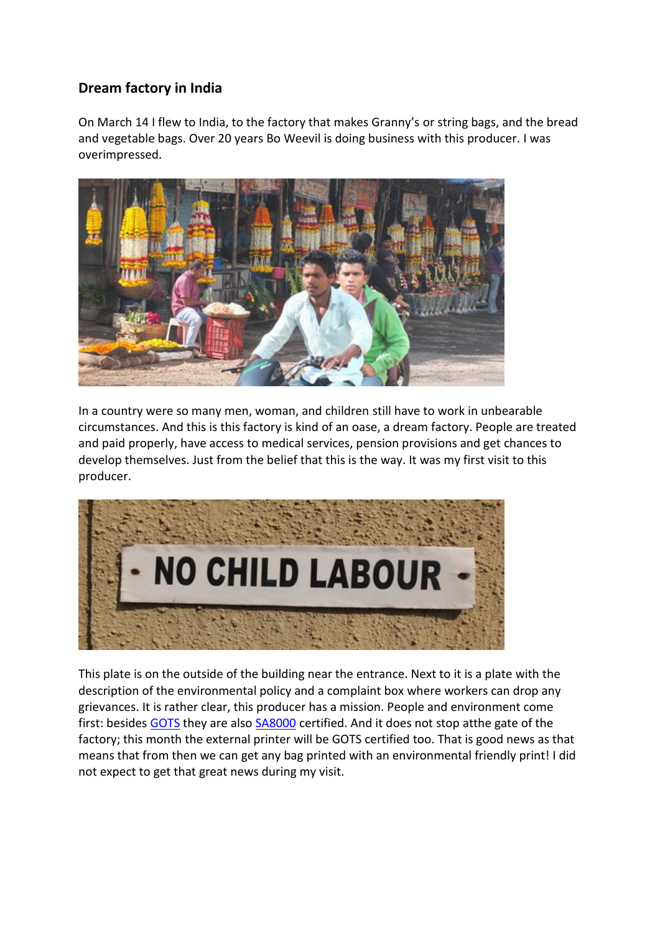## **Dream factory in India**

On March 14 I flew to India, to the factory that makes Granny's or string bags, and the bread and vegetable bags. Over 20 years Bo Weevil is doing business with this producer. I was overimpressed.



In a country were so many men, woman, and children still have to work in unbearable circumstances. And this is this factory is kind of an oase, a dream factory. People are treated and paid properly, have access to medical services, pension provisions and get chances to develop themselves. Just from the belief that this is the way. It was my first visit to this producer.



This plate is on the outside of the building near the entrance. Next to it is a plate with the description of the environmental policy and a complaint box where workers can drop any grievances. It is rather clear, this producer has a mission. People and environment come first: besides [GOTS](http://www.global-standard.org/) they are also [SA8000](http://www.sa-intl.org/index.cfm?fuseaction=Page.ViewPage&pageId=1689) certified. And it does not stop atthe gate of the factory; this month the external printer will be GOTS certified too. That is good news as that means that from then we can get any bag printed with an environmental friendly print! I did not expect to get that great news during my visit.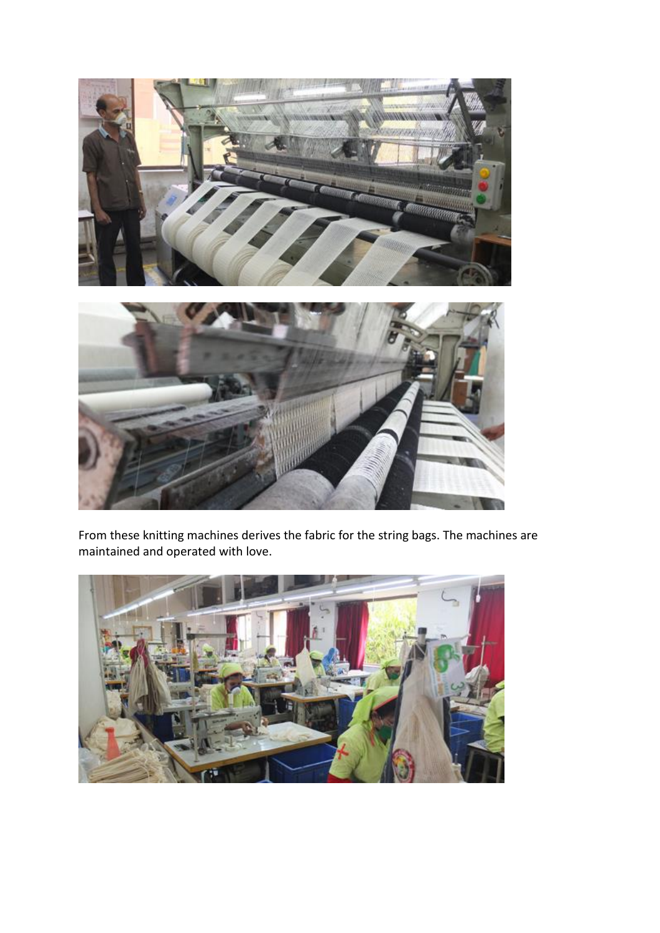

From these knitting machines derives the fabric for the string bags. The machines are maintained and operated with love.